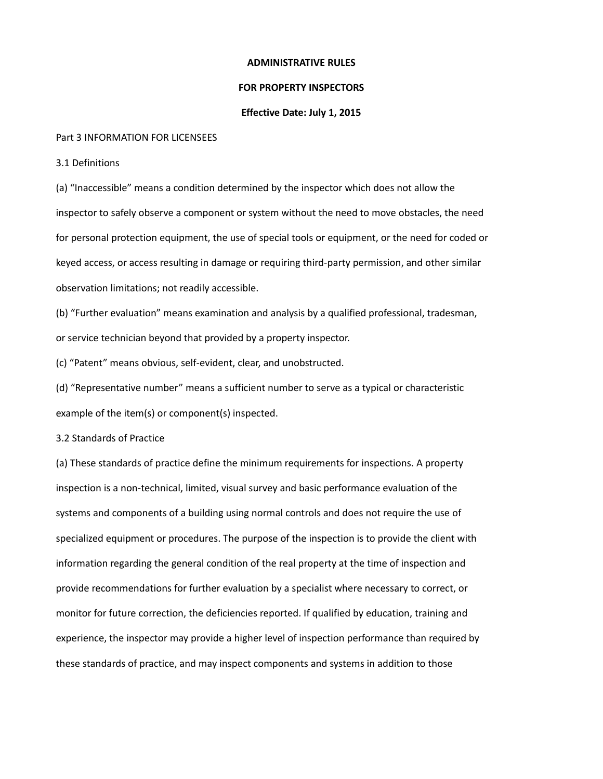## **ADMINISTRATIVE RULES**

## **FOR PROPERTY INSPECTORS**

## **Effective Date: July 1, 2015**

#### Part 3 INFORMATION FOR LICENSEES

3.1 Definitions

(a) "Inaccessible" means a condition determined by the inspector which does not allow the inspector to safely observe a component or system without the need to move obstacles, the need for personal protection equipment, the use of special tools or equipment, or the need for coded or keyed access, or access resulting in damage or requiring third-party permission, and other similar observation limitations; not readily accessible.

(b) "Further evaluation" means examination and analysis by a qualified professional, tradesman, or service technician beyond that provided by a property inspector.

(c) "Patent" means obvious, self-evident, clear, and unobstructed.

(d) "Representative number" means a sufficient number to serve as a typical or characteristic example of the item(s) or component(s) inspected.

3.2 Standards of Practice

(a) These standards of practice define the minimum requirements for inspections. A property inspection is a non-technical, limited, visual survey and basic performance evaluation of the systems and components of a building using normal controls and does not require the use of specialized equipment or procedures. The purpose of the inspection is to provide the client with information regarding the general condition of the real property at the time of inspection and provide recommendations for further evaluation by a specialist where necessary to correct, or monitor for future correction, the deficiencies reported. If qualified by education, training and experience, the inspector may provide a higher level of inspection performance than required by these standards of practice, and may inspect components and systems in addition to those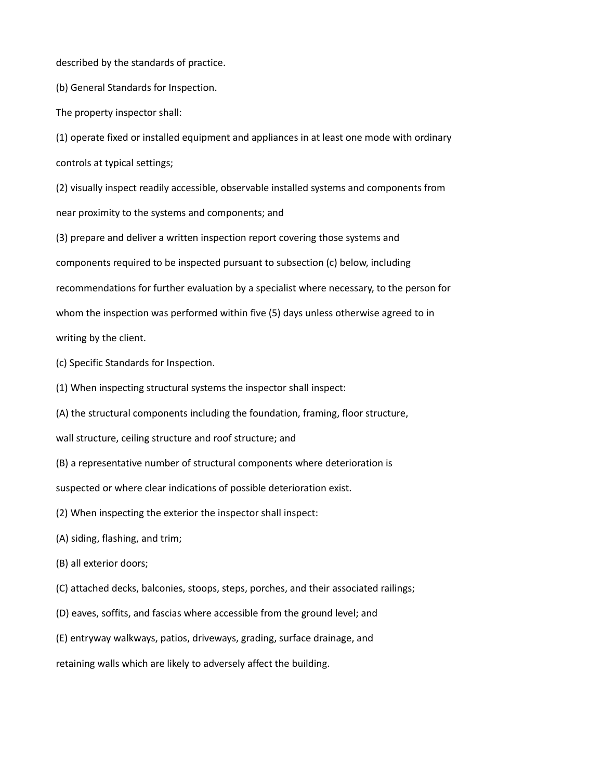described by the standards of practice.

(b) General Standards for Inspection.

The property inspector shall:

(1) operate fixed or installed equipment and appliances in at least one mode with ordinary controls at typical settings;

(2) visually inspect readily accessible, observable installed systems and components from near proximity to the systems and components; and

(3) prepare and deliver a written inspection report covering those systems and components required to be inspected pursuant to subsection (c) below, including recommendations for further evaluation by a specialist where necessary, to the person for whom the inspection was performed within five (5) days unless otherwise agreed to in writing by the client.

- (c) Specific Standards for Inspection.
- (1) When inspecting structural systems the inspector shall inspect:
- (A) the structural components including the foundation, framing, floor structure,

wall structure, ceiling structure and roof structure; and

(B) a representative number of structural components where deterioration is

suspected or where clear indications of possible deterioration exist.

- (2) When inspecting the exterior the inspector shall inspect:
- (A) siding, flashing, and trim;
- (B) all exterior doors;
- (C) attached decks, balconies, stoops, steps, porches, and their associated railings;
- (D) eaves, soffits, and fascias where accessible from the ground level; and
- (E) entryway walkways, patios, driveways, grading, surface drainage, and

retaining walls which are likely to adversely affect the building.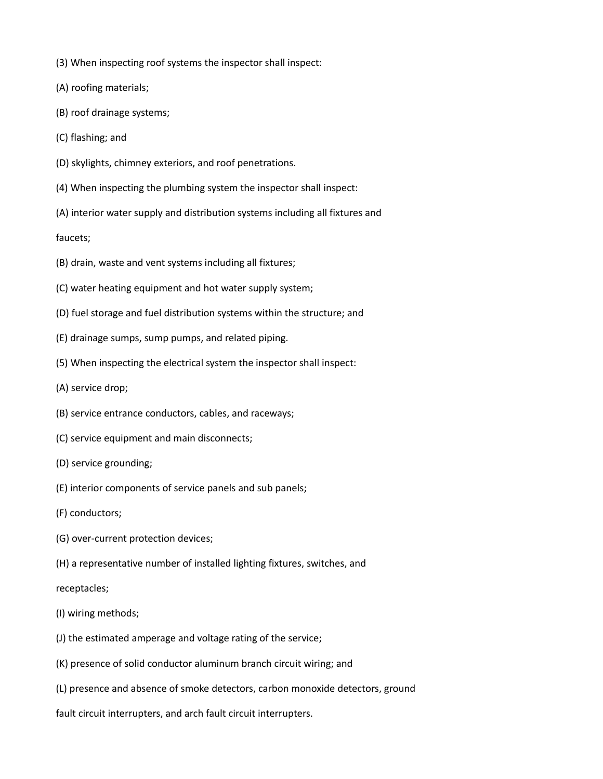- (3) When inspecting roof systems the inspector shall inspect:
- (A) roofing materials;
- (B) roof drainage systems;
- (C) flashing; and
- (D) skylights, chimney exteriors, and roof penetrations.
- (4) When inspecting the plumbing system the inspector shall inspect:
- (A) interior water supply and distribution systems including all fixtures and

faucets;

- (B) drain, waste and vent systems including all fixtures;
- (C) water heating equipment and hot water supply system;
- (D) fuel storage and fuel distribution systems within the structure; and
- (E) drainage sumps, sump pumps, and related piping.
- (5) When inspecting the electrical system the inspector shall inspect:
- (A) service drop;
- (B) service entrance conductors, cables, and raceways;
- (C) service equipment and main disconnects;
- (D) service grounding;
- (E) interior components of service panels and sub panels;
- (F) conductors;
- (G) over-current protection devices;
- (H) a representative number of installed lighting fixtures, switches, and

# receptacles;

- (I) wiring methods;
- (J) the estimated amperage and voltage rating of the service;
- (K) presence of solid conductor aluminum branch circuit wiring; and
- (L) presence and absence of smoke detectors, carbon monoxide detectors, ground

fault circuit interrupters, and arch fault circuit interrupters.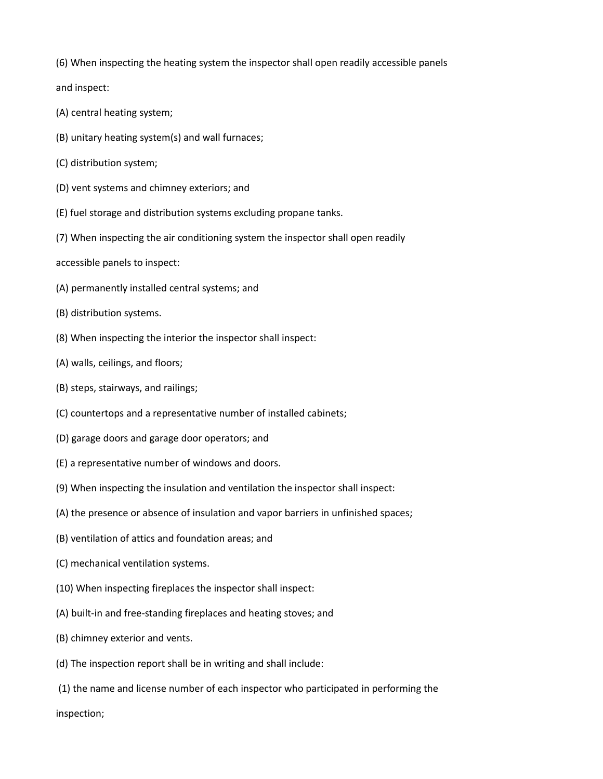(6) When inspecting the heating system the inspector shall open readily accessible panels

and inspect:

- (A) central heating system;
- (B) unitary heating system(s) and wall furnaces;
- (C) distribution system;
- (D) vent systems and chimney exteriors; and
- (E) fuel storage and distribution systems excluding propane tanks.
- (7) When inspecting the air conditioning system the inspector shall open readily
- accessible panels to inspect:
- (A) permanently installed central systems; and
- (B) distribution systems.
- (8) When inspecting the interior the inspector shall inspect:
- (A) walls, ceilings, and floors;
- (B) steps, stairways, and railings;
- (C) countertops and a representative number of installed cabinets;
- (D) garage doors and garage door operators; and
- (E) a representative number of windows and doors.
- (9) When inspecting the insulation and ventilation the inspector shall inspect:
- (A) the presence or absence of insulation and vapor barriers in unfinished spaces;
- (B) ventilation of attics and foundation areas; and
- (C) mechanical ventilation systems.
- (10) When inspecting fireplaces the inspector shall inspect:
- (A) built-in and free-standing fireplaces and heating stoves; and
- (B) chimney exterior and vents.
- (d) The inspection report shall be in writing and shall include:
- (1) the name and license number of each inspector who participated in performing the

inspection;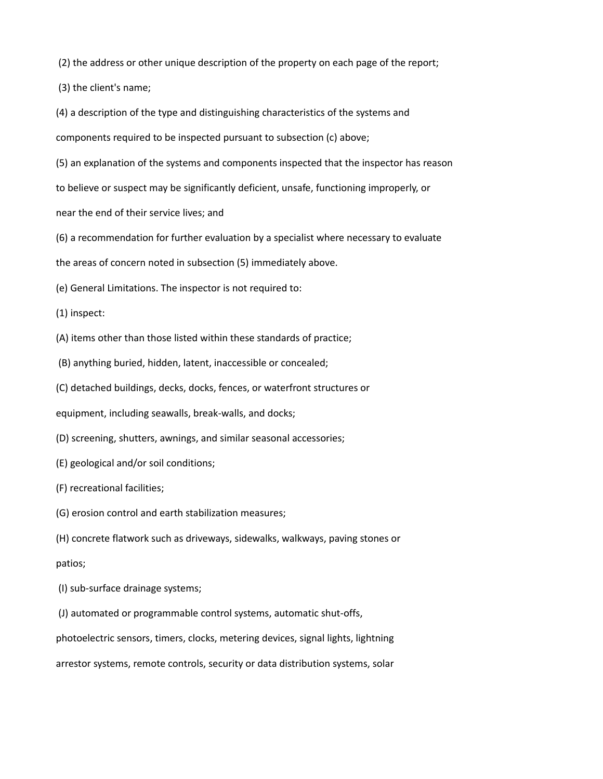(2) the address or other unique description of the property on each page of the report;

(3) the client's name;

(4) a description of the type and distinguishing characteristics of the systems and components required to be inspected pursuant to subsection (c) above;

(5) an explanation of the systems and components inspected that the inspector has reason

to believe or suspect may be significantly deficient, unsafe, functioning improperly, or

near the end of their service lives; and

(6) a recommendation for further evaluation by a specialist where necessary to evaluate

the areas of concern noted in subsection (5) immediately above.

(e) General Limitations. The inspector is not required to:

(1) inspect:

(A) items other than those listed within these standards of practice;

(B) anything buried, hidden, latent, inaccessible or concealed;

(C) detached buildings, decks, docks, fences, or waterfront structures or

equipment, including seawalls, break-walls, and docks;

(D) screening, shutters, awnings, and similar seasonal accessories;

(E) geological and/or soil conditions;

(F) recreational facilities;

(G) erosion control and earth stabilization measures;

(H) concrete flatwork such as driveways, sidewalks, walkways, paving stones or patios;

(I) sub-surface drainage systems;

(J) automated or programmable control systems, automatic shut-offs,

photoelectric sensors, timers, clocks, metering devices, signal lights, lightning

arrestor systems, remote controls, security or data distribution systems, solar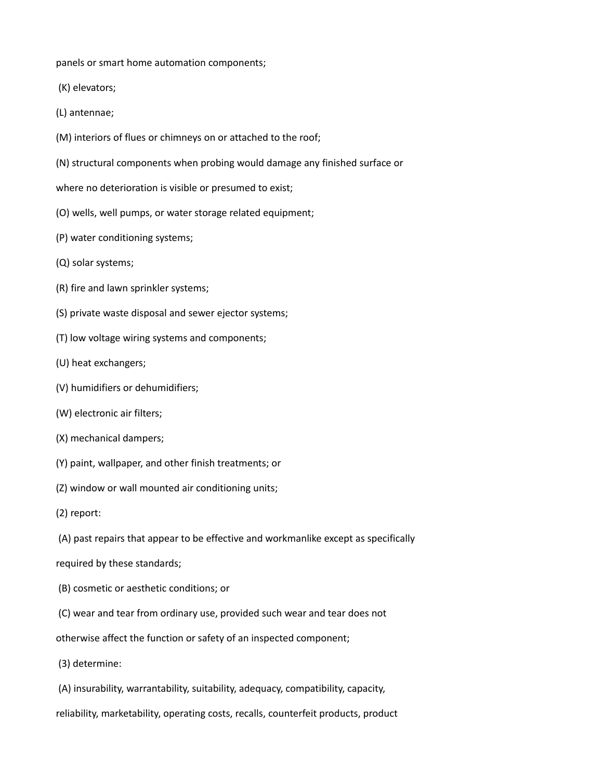panels or smart home automation components;

- (K) elevators;
- (L) antennae;
- (M) interiors of flues or chimneys on or attached to the roof;
- (N) structural components when probing would damage any finished surface or
- where no deterioration is visible or presumed to exist;
- (O) wells, well pumps, or water storage related equipment;
- (P) water conditioning systems;
- (Q) solar systems;
- (R) fire and lawn sprinkler systems;
- (S) private waste disposal and sewer ejector systems;
- (T) low voltage wiring systems and components;
- (U) heat exchangers;
- (V) humidifiers or dehumidifiers;
- (W) electronic air filters;
- (X) mechanical dampers;
- (Y) paint, wallpaper, and other finish treatments; or
- (Z) window or wall mounted air conditioning units;
- (2) report:
- (A) past repairs that appear to be effective and workmanlike except as specifically
- required by these standards;
- (B) cosmetic or aesthetic conditions; or
- (C) wear and tear from ordinary use, provided such wear and tear does not
- otherwise affect the function or safety of an inspected component;
- (3) determine:
- (A) insurability, warrantability, suitability, adequacy, compatibility, capacity,
- reliability, marketability, operating costs, recalls, counterfeit products, product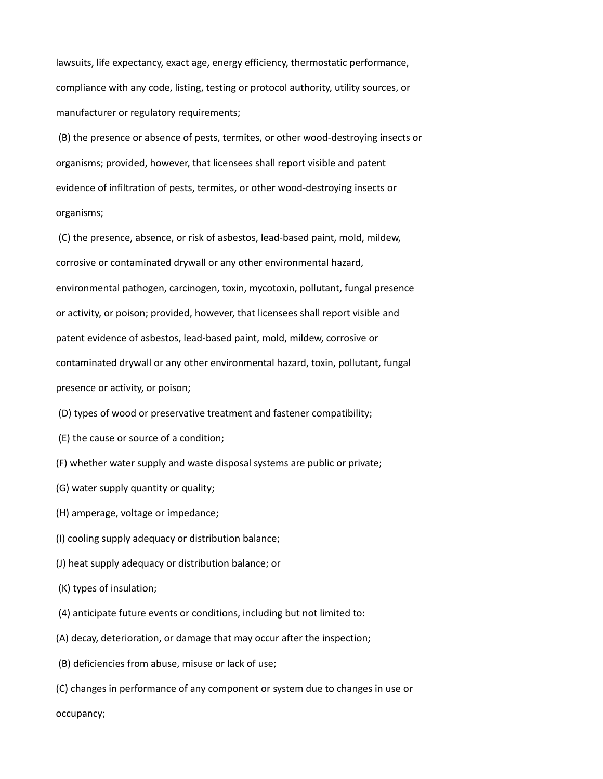lawsuits, life expectancy, exact age, energy efficiency, thermostatic performance, compliance with any code, listing, testing or protocol authority, utility sources, or manufacturer or regulatory requirements;

 (B) the presence or absence of pests, termites, or other wood-destroying insects or organisms; provided, however, that licensees shall report visible and patent evidence of infiltration of pests, termites, or other wood-destroying insects or organisms;

 (C) the presence, absence, or risk of asbestos, lead-based paint, mold, mildew, corrosive or contaminated drywall or any other environmental hazard, environmental pathogen, carcinogen, toxin, mycotoxin, pollutant, fungal presence or activity, or poison; provided, however, that licensees shall report visible and patent evidence of asbestos, lead-based paint, mold, mildew, corrosive or contaminated drywall or any other environmental hazard, toxin, pollutant, fungal presence or activity, or poison;

- (D) types of wood or preservative treatment and fastener compatibility;
- (E) the cause or source of a condition;
- (F) whether water supply and waste disposal systems are public or private;
- (G) water supply quantity or quality;
- (H) amperage, voltage or impedance;
- (I) cooling supply adequacy or distribution balance;
- (J) heat supply adequacy or distribution balance; or
- (K) types of insulation;
- (4) anticipate future events or conditions, including but not limited to:
- (A) decay, deterioration, or damage that may occur after the inspection;
- (B) deficiencies from abuse, misuse or lack of use;
- (C) changes in performance of any component or system due to changes in use or

occupancy;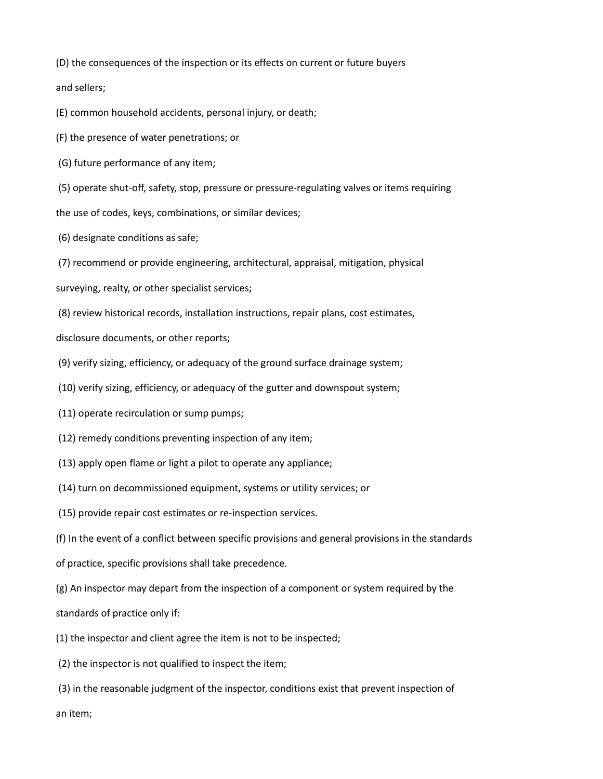(D) the consequences of the inspection or its effects on current or future buyers

and sellers;

(E) common household accidents, personal injury, or death;

(F) the presence of water penetrations; or

(G) future performance of any item;

(5) operate shut-off, safety, stop, pressure or pressure-regulating valves or items requiring

the use of codes, keys, combinations, or similar devices;

(6) designate conditions as safe;

(7) recommend or provide engineering, architectural, appraisal, mitigation, physical

surveying, realty, or other specialist services;

(8) review historical records, installation instructions, repair plans, cost estimates,

disclosure documents, or other reports;

(9) verify sizing, efficiency, or adequacy of the ground surface drainage system;

- (10) verify sizing, efficiency, or adequacy of the gutter and downspout system;
- (11) operate recirculation or sump pumps;
- (12) remedy conditions preventing inspection of any item;
- (13) apply open flame or light a pilot to operate any appliance;
- (14) turn on decommissioned equipment, systems or utility services; or
- (15) provide repair cost estimates or re-inspection services.

(f) In the event of a conflict between specific provisions and general provisions in the standards

- of practice, specific provisions shall take precedence.
- (g) An inspector may depart from the inspection of a component or system required by the

standards of practice only if:

(1) the inspector and client agree the item is not to be inspected;

(2) the inspector is not qualified to inspect the item;

 (3) in the reasonable judgment of the inspector, conditions exist that prevent inspection of an item;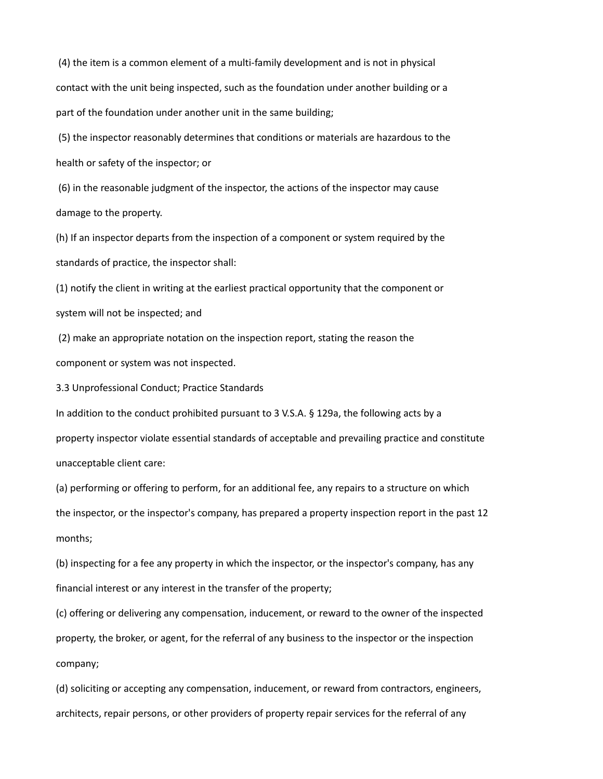(4) the item is a common element of a multi-family development and is not in physical contact with the unit being inspected, such as the foundation under another building or a part of the foundation under another unit in the same building;

 (5) the inspector reasonably determines that conditions or materials are hazardous to the health or safety of the inspector; or

 (6) in the reasonable judgment of the inspector, the actions of the inspector may cause damage to the property.

(h) If an inspector departs from the inspection of a component or system required by the standards of practice, the inspector shall:

(1) notify the client in writing at the earliest practical opportunity that the component or system will not be inspected; and

 (2) make an appropriate notation on the inspection report, stating the reason the component or system was not inspected.

3.3 Unprofessional Conduct; Practice Standards

In addition to the conduct prohibited pursuant to 3 V.S.A. § 129a, the following acts by a property inspector violate essential standards of acceptable and prevailing practice and constitute unacceptable client care:

(a) performing or offering to perform, for an additional fee, any repairs to a structure on which the inspector, or the inspector's company, has prepared a property inspection report in the past 12 months;

(b) inspecting for a fee any property in which the inspector, or the inspector's company, has any financial interest or any interest in the transfer of the property;

(c) offering or delivering any compensation, inducement, or reward to the owner of the inspected property, the broker, or agent, for the referral of any business to the inspector or the inspection company;

(d) soliciting or accepting any compensation, inducement, or reward from contractors, engineers, architects, repair persons, or other providers of property repair services for the referral of any